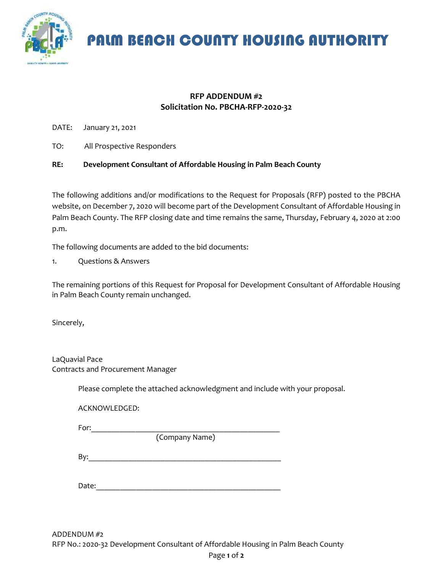

PALM BEACH COUNTY HOUSING AUTHORITY

## **RFP ADDENDUM #2 Solicitation No. PBCHA-RFP-2020-32**

DATE: January 21, 2021

TO: All Prospective Responders

## **RE: Development Consultant of Affordable Housing in Palm Beach County**

The following additions and/or modifications to the Request for Proposals (RFP) posted to the PBCHA website, on December 7, 2020 will become part of the Development Consultant of Affordable Housing in Palm Beach County. The RFP closing date and time remains the same, Thursday, February 4, 2020 at 2:00 p.m.

The following documents are added to the bid documents:

1. Questions & Answers

The remaining portions of this Request for Proposal for Development Consultant of Affordable Housing in Palm Beach County remain unchanged.

Sincerely,

LaQuavial Pace Contracts and Procurement Manager

Please complete the attached acknowledgment and include with your proposal.

ACKNOWLEDGED:

For:\_\_\_\_\_\_\_\_\_\_\_\_\_\_\_\_\_\_\_\_\_\_\_\_\_\_\_\_\_\_\_\_\_\_\_\_\_\_\_\_\_\_\_\_\_\_\_

(Company Name)

 $\mathsf{By:}$